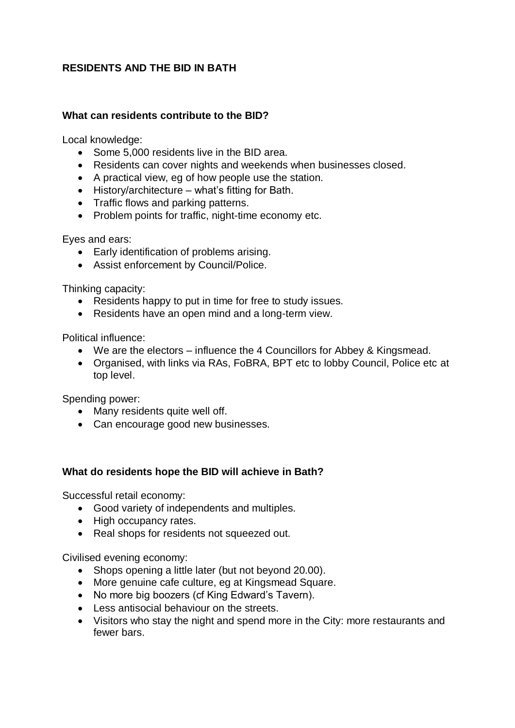## **RESIDENTS AND THE BID IN BATH**

## **What can residents contribute to the BID?**

Local knowledge:

- Some 5,000 residents live in the BID area.
- Residents can cover nights and weekends when businesses closed.
- A practical view, eg of how people use the station.
- History/architecture what's fitting for Bath.
- Traffic flows and parking patterns.
- Problem points for traffic, night-time economy etc.

Eyes and ears:

- Early identification of problems arising.
- Assist enforcement by Council/Police.

Thinking capacity:

- Residents happy to put in time for free to study issues.
- Residents have an open mind and a long-term view.

Political influence:

- We are the electors influence the 4 Councillors for Abbey & Kingsmead.
- Organised, with links via RAs, FoBRA, BPT etc to lobby Council, Police etc at top level.

Spending power:

- Many residents quite well off.
- Can encourage good new businesses.

## **What do residents hope the BID will achieve in Bath?**

Successful retail economy:

- Good variety of independents and multiples.
- High occupancy rates.
- Real shops for residents not squeezed out.

Civilised evening economy:

- Shops opening a little later (but not beyond 20.00).
- More genuine cafe culture, eg at Kingsmead Square.
- No more big boozers (cf King Edward's Tavern).
- Less antisocial behaviour on the streets.
- Visitors who stay the night and spend more in the City: more restaurants and fewer bars.